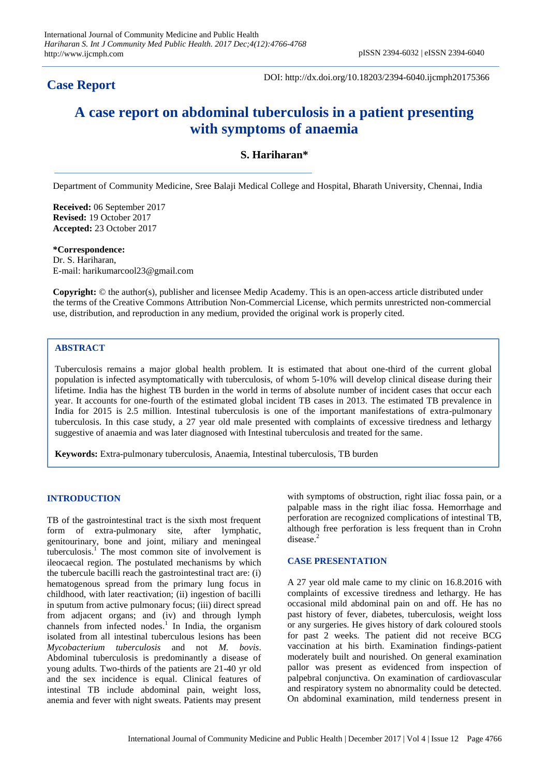## **Case Report**

DOI: http://dx.doi.org/10.18203/2394-6040.ijcmph20175366

# **A case report on abdominal tuberculosis in a patient presenting with symptoms of anaemia**

### **S. Hariharan\***

Department of Community Medicine, Sree Balaji Medical College and Hospital, Bharath University, Chennai, India

**Received:** 06 September 2017 **Revised:** 19 October 2017 **Accepted:** 23 October 2017

**\*Correspondence:** Dr. S. Hariharan, E-mail: harikumarcool23@gmail.com

**Copyright:** © the author(s), publisher and licensee Medip Academy. This is an open-access article distributed under the terms of the Creative Commons Attribution Non-Commercial License, which permits unrestricted non-commercial use, distribution, and reproduction in any medium, provided the original work is properly cited.

#### **ABSTRACT**

Tuberculosis remains a major global health problem. It is estimated that about one-third of the current global population is infected asymptomatically with tuberculosis, of whom 5-10% will develop clinical disease during their lifetime. India has the highest TB burden in the world in terms of absolute number of incident cases that occur each year. It accounts for one-fourth of the estimated global incident TB cases in 2013. The estimated TB prevalence in India for 2015 is 2.5 million. Intestinal tuberculosis is one of the important manifestations of extra-pulmonary tuberculosis. In this case study, a 27 year old male presented with complaints of excessive tiredness and lethargy suggestive of anaemia and was later diagnosed with Intestinal tuberculosis and treated for the same.

**Keywords:** Extra-pulmonary tuberculosis, Anaemia, Intestinal tuberculosis, TB burden

#### **INTRODUCTION**

TB of the gastrointestinal tract is the sixth most frequent form of extra-pulmonary site, after lymphatic, genitourinary, bone and joint, miliary and meningeal tuberculosis. <sup>1</sup> The most common site of involvement is ileocaecal region. The postulated mechanisms by which the tubercule bacilli reach the gastrointestinal tract are: (i) hematogenous spread from the primary lung focus in childhood, with later reactivation; (ii) ingestion of bacilli in sputum from active pulmonary focus; (iii) direct spread from adjacent organs; and (iv) and through lymph channels from infected nodes. 1 In India, the organism isolated from all intestinal tuberculous lesions has been *Mycobacterium tuberculosis* and not *M. bovis*. Abdominal tuberculosis is predominantly a disease of young adults. Two-thirds of the patients are 21-40 yr old and the sex incidence is equal. Clinical features of intestinal TB include abdominal pain, weight loss, anemia and fever with night sweats. Patients may present with symptoms of obstruction, right iliac fossa pain, or a palpable mass in the right iliac fossa. Hemorrhage and perforation are recognized complications of intestinal TB, although free perforation is less frequent than in Crohn disease.<sup>2</sup>

#### **CASE PRESENTATION**

A 27 year old male came to my clinic on 16.8.2016 with complaints of excessive tiredness and lethargy. He has occasional mild abdominal pain on and off. He has no past history of fever, diabetes, tuberculosis, weight loss or any surgeries. He gives history of dark coloured stools for past 2 weeks. The patient did not receive BCG vaccination at his birth. Examination findings-patient moderately built and nourished. On general examination pallor was present as evidenced from inspection of palpebral conjunctiva. On examination of cardiovascular and respiratory system no abnormality could be detected. On abdominal examination, mild tenderness present in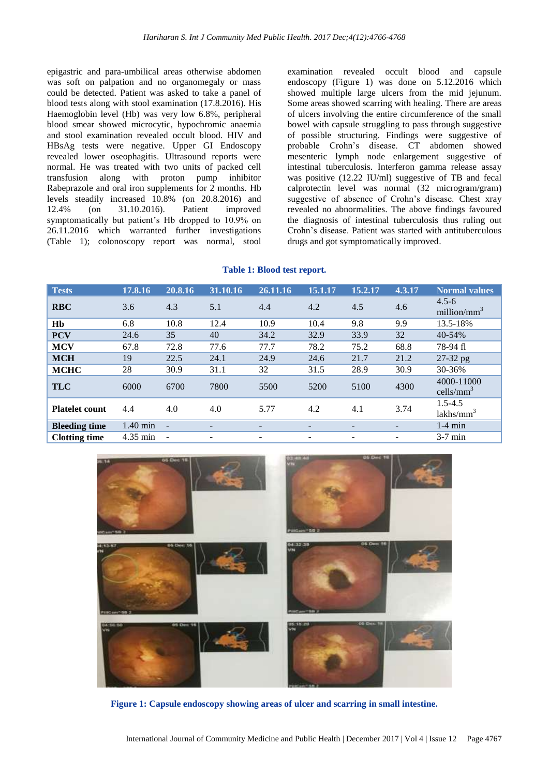epigastric and para-umbilical areas otherwise abdomen was soft on palpation and no organomegaly or mass could be detected. Patient was asked to take a panel of blood tests along with stool examination (17.8.2016). His Haemoglobin level (Hb) was very low 6.8%, peripheral blood smear showed microcytic, hypochromic anaemia and stool examination revealed occult blood. HIV and HBsAg tests were negative. Upper GI Endoscopy revealed lower oseophagitis. Ultrasound reports were normal. He was treated with two units of packed cell transfusion along with proton pump inhibitor Rabeprazole and oral iron supplements for 2 months. Hb levels steadily increased 10.8% (on 20.8.2016) and 12.4% (on 31.10.2016). Patient improved symptomatically but patient's Hb dropped to 10.9% on 26.11.2016 which warranted further investigations (Table 1); colonoscopy report was normal, stool examination revealed occult blood and capsule endoscopy (Figure 1) was done on 5.12.2016 which showed multiple large ulcers from the mid jejunum. Some areas showed scarring with healing. There are areas of ulcers involving the entire circumference of the small bowel with capsule struggling to pass through suggestive of possible structuring. Findings were suggestive of probable Crohn's disease. CT abdomen showed mesenteric lymph node enlargement suggestive of intestinal tuberculosis. Interferon gamma release assay was positive (12.22 IU/ml) suggestive of TB and fecal calprotectin level was normal (32 microgram/gram) suggestive of absence of Crohn's disease. Chest xray revealed no abnormalities. The above findings favoured the diagnosis of intestinal tuberculosis thus ruling out Crohn's disease. Patient was started with antituberculous drugs and got symptomatically improved.

|  |  | Table 1: Blood test report. |
|--|--|-----------------------------|
|--|--|-----------------------------|

| <b>Tests</b>          | 17.8.16            | 20.8.16                  | 31.10.16 | 26.11.16                 | 15.1.17                  | 15.2.17                  | 4.3.17                   | <b>Normal values</b>              |
|-----------------------|--------------------|--------------------------|----------|--------------------------|--------------------------|--------------------------|--------------------------|-----------------------------------|
| <b>RBC</b>            | 3.6                | 4.3                      | 5.1      | 4.4                      | 4.2                      | 4.5                      | 4.6                      | $4.5 - 6$<br>million/ $mm3$       |
| Hb                    | 6.8                | 10.8                     | 12.4     | 10.9                     | 10.4                     | 9.8                      | 9.9                      | 13.5-18%                          |
| <b>PCV</b>            | 24.6               | 35                       | 40       | 34.2                     | 32.9                     | 33.9                     | 32                       | 40-54%                            |
| <b>MCV</b>            | 67.8               | 72.8                     | 77.6     | 77.7                     | 78.2                     | 75.2                     | 68.8                     | 78-94 fl                          |
| <b>MCH</b>            | 19                 | 22.5                     | 24.1     | 24.9                     | 24.6                     | 21.7                     | 21.2                     | 27-32 pg                          |
| <b>MCHC</b>           | 28                 | 30.9                     | 31.1     | 32                       | 31.5                     | 28.9                     | 30.9                     | 30-36%                            |
| <b>TLC</b>            | 6000               | 6700                     | 7800     | 5500                     | 5200                     | 5100                     | 4300                     | 4000-11000<br>$\text{cells/mm}^3$ |
| <b>Platelet count</b> | 4.4                | 4.0                      | 4.0      | 5.77                     | 4.2                      | 4.1                      | 3.74                     | $1.5 - 4.5$<br>$lakhs/mm^3$       |
| <b>Bleeding time</b>  | $1.40$ min         | $\overline{\phantom{a}}$ | -        | $\overline{\phantom{0}}$ | $\overline{\phantom{a}}$ | -                        | $\overline{\phantom{0}}$ | $1-4$ min                         |
| <b>Clotting time</b>  | $4.35 \text{ min}$ |                          |          |                          | $\overline{\phantom{a}}$ | $\overline{\phantom{0}}$ | $\overline{\phantom{a}}$ | $3-7$ min                         |



**Figure 1: Capsule endoscopy showing areas of ulcer and scarring in small intestine.**